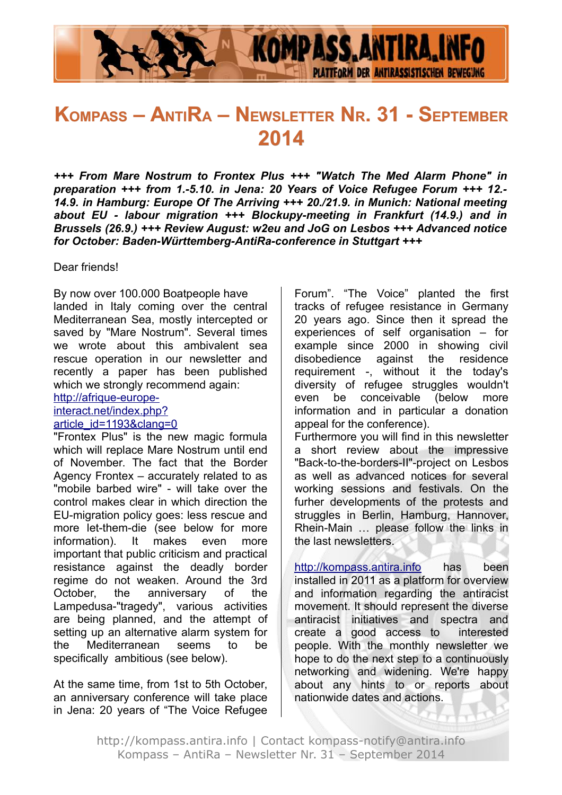

# **KOMPASS – ANTIRA – NEWSLETTER NR. 31 - SEPTEMBER 2014**

*+++ From Mare Nostrum to Frontex Plus +++ "Watch The Med Alarm Phone" in preparation +++ from 1.-5.10. in Jena: 20 Years of Voice Refugee Forum +++ 12.- 14.9. in Hamburg: Europe Of The Arriving +++ 20./21.9. in Munich: National meeting about EU - labour migration +++ Blockupy-meeting in Frankfurt (14.9.) and in Brussels (26.9.) +++ Review August: w2eu and JoG on Lesbos +++ Advanced notice for October: Baden-Württemberg-AntiRa-conference in Stuttgart +++*

Dear friends!

By now over 100.000 Boatpeople have landed in Italy coming over the central Mediterranean Sea, mostly intercepted or saved by "Mare Nostrum". Several times we wrote about this ambivalent sea rescue operation in our newsletter and recently a paper has been published which we strongly recommend again:

[http://afrique-europe-](http://afrique-europe-interact.net/index.php?article_id=1193&clang=0)

[interact.net/index.php?](http://afrique-europe-interact.net/index.php?article_id=1193&clang=0)

[article\\_id=1193&clang=0](http://afrique-europe-interact.net/index.php?article_id=1193&clang=0)

"Frontex Plus" is the new magic formula which will replace Mare Nostrum until end of November. The fact that the Border Agency Frontex – accurately related to as "mobile barbed wire" - will take over the control makes clear in which direction the EU-migration policy goes: less rescue and more let-them-die (see below for more information). It makes even more important that public criticism and practical resistance against the deadly border regime do not weaken. Around the 3rd October, the anniversary of the Lampedusa-"tragedy", various activities are being planned, and the attempt of setting up an alternative alarm system for the Mediterranean seems to be specifically ambitious (see below).

At the same time, from 1st to 5th October, an anniversary conference will take place in Jena: 20 years of "The Voice Refugee Forum". "The Voice" planted the first tracks of refugee resistance in Germany 20 years ago. Since then it spread the experiences of self organisation – for example since 2000 in showing civil disobedience against the residence requirement -, without it the today's diversity of refugee struggles wouldn't even be conceivable (below more information and in particular a donation appeal for the conference).

Furthermore you will find in this newsletter a short review about the impressive "Back-to-the-borders-II"-project on Lesbos as well as advanced notices for several working sessions and festivals. On the furher developments of the protests and struggles in Berlin, Hamburg, Hannover, Rhein-Main … please follow the links in the last newsletters.

http://kompass.antira.info has been installed in 2011 as a platform for overview and information regarding the antiracist movement. It should represent the diverse antiracist initiatives and spectra and create a good access to interested people. With the monthly newsletter we hope to do the next step to a continuously networking and widening. We're happy about any hints to or reports about nationwide dates and actions.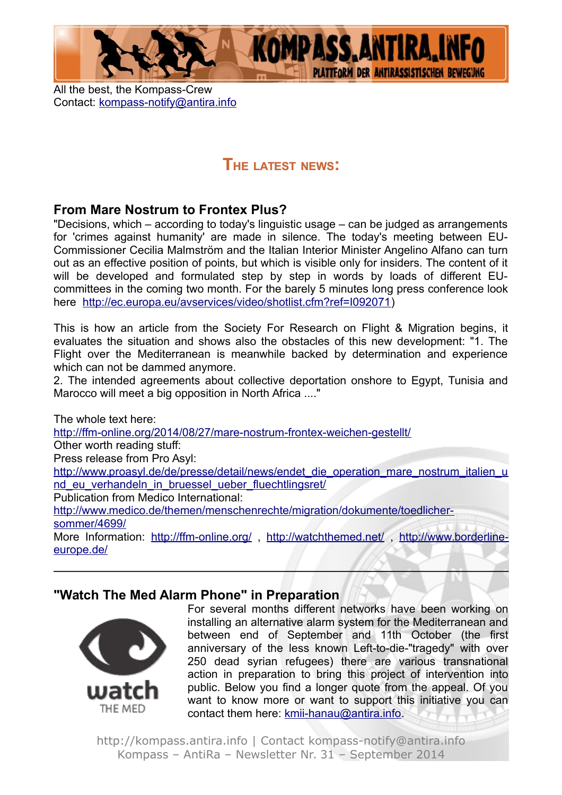

All the best, the Kompass-Crew Contact: [kompass-notify@antira.inf](mailto:kompass-notify@antira.info)o

## **THE LATEST NEWS:**

## **From Mare Nostrum to Frontex Plus?**

"Decisions, which – according to today's linguistic usage – can be judged as arrangements for 'crimes against humanity' are made in silence. The today's meeting between EU-Commissioner Cecilia Malmström and the Italian Interior Minister Angelino Alfano can turn out as an effective position of points, but which is visible only for insiders. The content of it will be developed and formulated step by step in words by loads of different EUcommittees in the coming two month. For the barely 5 minutes long press conference look here [http://ec.europa.eu/avservices/video/shotlist.cfm?ref=I092071\)](http://ec.europa.eu/avservices/video/shotlist.cfm?ref=I092071)

This is how an article from the Society For Research on Flight & Migration begins, it evaluates the situation and shows also the obstacles of this new development: "1. The Flight over the Mediterranean is meanwhile backed by determination and experience which can not be dammed anymore.

2. The intended agreements about collective deportation onshore to Egypt, Tunisia and Marocco will meet a big opposition in North Africa ...."

The whole text here: <http://ffm-online.org/2014/08/27/mare-nostrum-frontex-weichen-gestellt/> Other worth reading stuff: Press release from Pro Asyl: [http://www.proasyl.de/de/presse/detail/news/endet\\_die\\_operation\\_mare\\_nostrum\\_italien\\_u](http://www.proasyl.de/de/presse/detail/news/endet_die_operation_mare_nostrum_italien_und_eu_verhandeln_in_bruessel_ueber_fluechtlingsret/) nd eu verhandeln in bruessel ueber fluechtlingsret/ Publication from Medico International: [http://www.medico.de/themen/menschenrechte/migration/dokumente/toedlicher](http://www.medico.de/themen/menschenrechte/migration/dokumente/toedlicher-sommer/4699/)[sommer/4699/](http://www.medico.de/themen/menschenrechte/migration/dokumente/toedlicher-sommer/4699/) More Information:<http://ffm-online.org/>,<http://watchthemed.net/>, [http://www.borderline](http://www.borderline-europe.de/)[europe.de/](http://www.borderline-europe.de/)

## **"Watch The Med Alarm Phone" in Preparation**



For several months different networks have been working on installing an alternative alarm system for the Mediterranean and between end of September and 11th October (the first anniversary of the less known Left-to-die-"tragedy" with over 250 dead syrian refugees) there are various transnational action in preparation to bring this project of intervention into public. Below you find a longer quote from the appeal. Of you want to know more or want to support this initiative you can contact them here: [kmii-hanau@antira.info.](mailto:kmii-hanau@antira.info)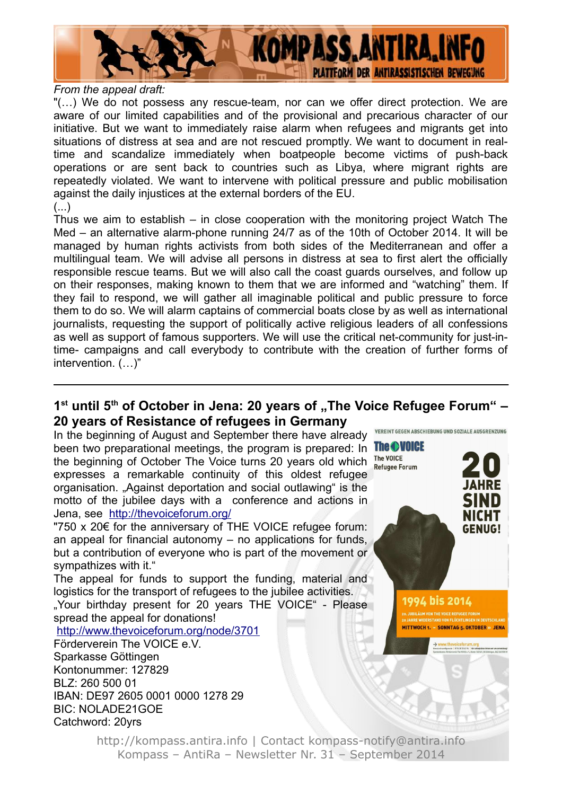

#### *From the appeal draft:*

"(…) We do not possess any rescue-team, nor can we offer direct protection. We are aware of our limited capabilities and of the provisional and precarious character of our initiative. But we want to immediately raise alarm when refugees and migrants get into situations of distress at sea and are not rescued promptly. We want to document in realtime and scandalize immediately when boatpeople become victims of push-back operations or are sent back to countries such as Libya, where migrant rights are repeatedly violated. We want to intervene with political pressure and public mobilisation against the daily injustices at the external borders of the EU.  $(\ldots)$ 

Thus we aim to establish – in close cooperation with the monitoring project Watch The Med – an alternative alarm-phone running 24/7 as of the 10th of October 2014. It will be managed by human rights activists from both sides of the Mediterranean and offer a multilingual team. We will advise all persons in distress at sea to first alert the officially responsible rescue teams. But we will also call the coast guards ourselves, and follow up on their responses, making known to them that we are informed and "watching" them. If they fail to respond, we will gather all imaginable political and public pressure to force them to do so. We will alarm captains of commercial boats close by as well as international journalists, requesting the support of politically active religious leaders of all confessions as well as support of famous supporters. We will use the critical net-community for just-intime- campaigns and call everybody to contribute with the creation of further forms of intervention. (…)"

## 1<sup>st</sup> until 5<sup>th</sup> of October in Jena: 20 years of "The Voice Refugee Forum" – **20 years of Resistance of refugees in Germany**

In the beginning of August and September there have already been two preparational meetings, the program is prepared: In The OVOICE the beginning of October The Voice turns 20 years old which The Voice expresses a remarkable continuity of this oldest refugee organisation. "Against deportation and social outlawing" is the motto of the jubilee days with a conference and actions in Jena, see <http://thevoiceforum.org/>

"750 x 20€ for the anniversary of THE VOICE refugee forum: an appeal for financial autonomy – no applications for funds, but a contribution of everyone who is part of the movement or sympathizes with it."

The appeal for funds to support the funding, material and logistics for the transport of refugees to the jubilee activities. . Your birthday present for 20 years THE VOICE" - Please spread the appeal for donations!

<http://www.thevoiceforum.org/node/3701>

Förderverein The VOICE e.V. Sparkasse Göttingen Kontonummer: 127829 BLZ: 260 500 01 IBAN: DE97 2605 0001 0000 1278 29 BIC: NOLADE21GOE Catchword: 20yrs

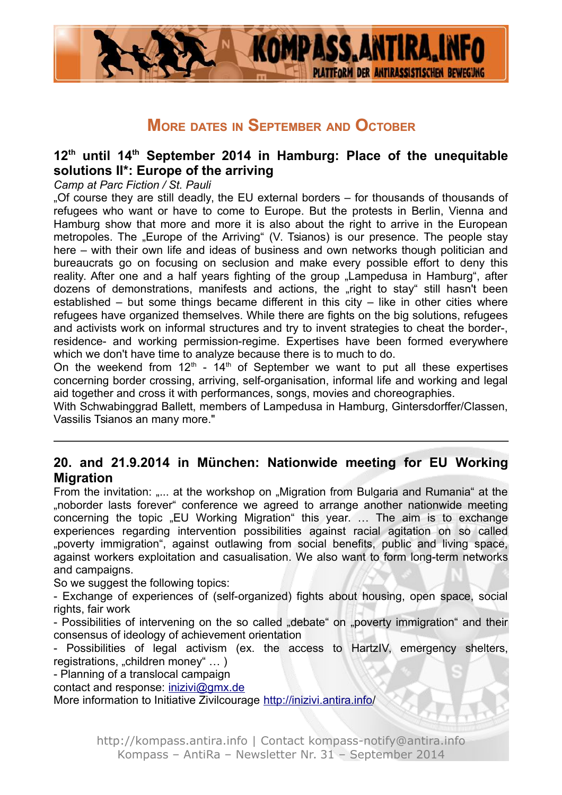

## **MORE DATES IN SEPTEMBER AND OCTOBER**

## **12th until 14th September 2014 in Hamburg: Place of the unequitable solutions II\*: Europe of the arriving**

#### *Camp at Parc Fiction / St. Pauli*

"Of course they are still deadly, the EU external borders – for thousands of thousands of refugees who want or have to come to Europe. But the protests in Berlin, Vienna and Hamburg show that more and more it is also about the right to arrive in the European metropoles. The "Europe of the Arriving" (V. Tsianos) is our presence. The people stay here – with their own life and ideas of business and own networks though politician and bureaucrats go on focusing on seclusion and make every possible effort to deny this reality. After one and a half years fighting of the group "Lampedusa in Hamburg", after dozens of demonstrations, manifests and actions, the "right to stay" still hasn't been established – but some things became different in this city – like in other cities where refugees have organized themselves. While there are fights on the big solutions, refugees and activists work on informal structures and try to invent strategies to cheat the border-, residence- and working permission-regime. Expertises have been formed everywhere which we don't have time to analyze because there is to much to do.

On the weekend from  $12<sup>th</sup>$  -  $14<sup>th</sup>$  of September we want to put all these expertises concerning border crossing, arriving, self-organisation, informal life and working and legal aid together and cross it with performances, songs, movies and choreographies.

With Schwabinggrad Ballett, members of Lampedusa in Hamburg, Gintersdorffer/Classen, Vassilis Tsianos an many more."

## **20. and 21.9.2014 in München: Nationwide meeting for EU Working Migration**

From the invitation: ..... at the workshop on ..Migration from Bulgaria and Rumania at the "noborder lasts forever" conference we agreed to arrange another nationwide meeting concerning the topic "EU Working Migration" this year. ... The aim is to exchange experiences regarding intervention possibilities against racial agitation on so called "poverty immigration", against outlawing from social benefits, public and living space, against workers exploitation and casualisation. We also want to form long-term networks and campaigns.

So we suggest the following topics:

- Exchange of experiences of (self-organized) fights about housing, open space, social rights, fair work

- Possibilities of intervening on the so called "debate" on "poverty immigration" and their consensus of ideology of achievement orientation

- Possibilities of legal activism (ex. the access to HartzIV, emergency shelters, registrations, "children money" ...)

- Planning of a translocal campaign

contact and response: [inizivi@gmx.de](mailto:inizivi@gmx.de)

More information to Initiative Zivilcourage<http://inizivi.antira.info/>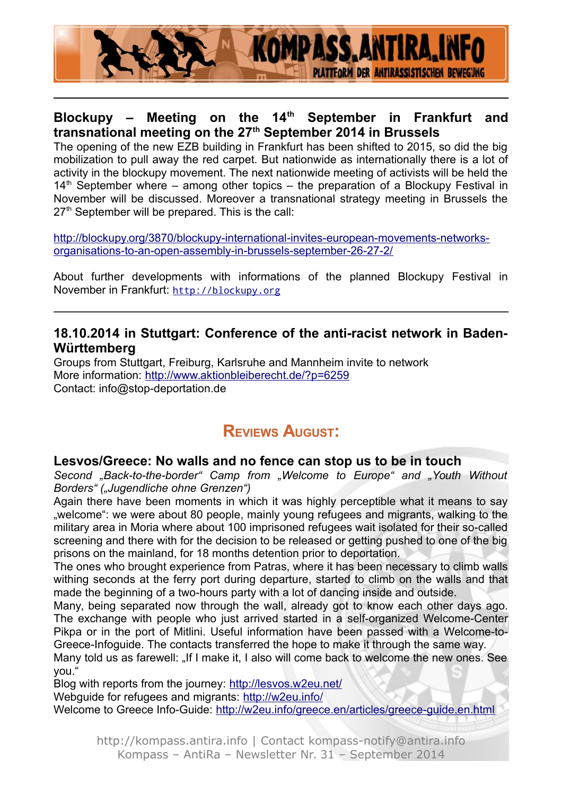

## **Blockupy – Meeting on the 14th September in Frankfurt and transnational meeting on the 27th September 2014 in Brussels**

The opening of the new EZB building in Frankfurt has been shifted to 2015, so did the big mobilization to pull away the red carpet. But nationwide as internationally there is a lot of activity in the blockupy movement. The next nationwide meeting of activists will be held the  $14<sup>th</sup>$  September where – among other topics – the preparation of a Blockupy Festival in November will be discussed. Moreover a transnational strategy meeting in Brussels the  $27<sup>th</sup>$  September will be prepared. This is the call:

[http://blockupy.org/3870/blockupy-international-invites-european-movements-networks](http://blockupy.org/3870/blockupy-international-invites-european-movements-networks-organisations-to-an-open-assembly-in-brussels-september-26-27-2/)[organisations-to-an-open-assembly-in-brussels-september-26-27-2/](http://blockupy.org/3870/blockupy-international-invites-european-movements-networks-organisations-to-an-open-assembly-in-brussels-september-26-27-2/)

About further developments with informations of the planned Blockupy Festival in November in Frankfurt: [http://blockupy.org](http://blockupy.org/)

### **18.10.2014 in Stuttgart: Conference of the anti-racist network in Baden-Württemberg**

Groups from Stuttgart, Freiburg, Karlsruhe and Mannheim invite to network More information:<http://www.aktionbleiberecht.de/?p=6259> Contact: info@stop-deportation.de

## **REVIEWS AUGUST:**

#### **Lesvos/Greece: No walls and no fence can stop us to be in touch**

*Second "Back-to-the-border" Camp from "Welcome to Europe" and "Youth Without Borders" ("Jugendliche ohne Grenzen")*

Again there have been moments in which it was highly perceptible what it means to say ", welcome": we were about 80 people, mainly young refugees and migrants, walking to the military area in Moria where about 100 imprisoned refugees wait isolated for their so-called screening and there with for the decision to be released or getting pushed to one of the big prisons on the mainland, for 18 months detention prior to deportation.

The ones who brought experience from Patras, where it has been necessary to climb walls withing seconds at the ferry port during departure, started to climb on the walls and that made the beginning of a two-hours party with a lot of dancing inside and outside.

Many, being separated now through the wall, already got to know each other days ago. The exchange with people who just arrived started in a self-organized Welcome-Center Pikpa or in the port of Mitlini. Useful information have been passed with a Welcome-to-Greece-Infoguide. The contacts transferred the hope to make it through the same way.

Many told us as farewell: "If I make it, I also will come back to welcome the new ones. See you."

Blog with reports from the journey:<http://lesvos.w2eu.net/>

Webguide for refugees and migrants:<http://w2eu.info/>

Welcome to Greece Info-Guide:<http://w2eu.info/greece.en/articles/greece-guide.en.html>